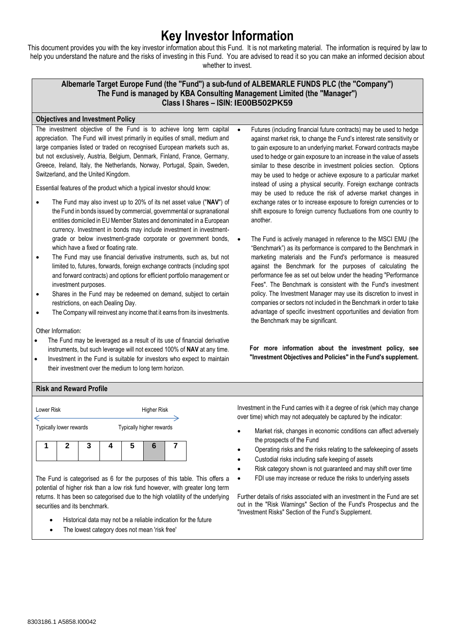# **Key Investor Information**

This document provides you with the key investor information about this Fund. It is not marketing material. The information is required by law to help you understand the nature and the risks of investing in this Fund. You are advised to read it so you can make an informed decision about whether to invest.

## **Albemarle Target Europe Fund (the "Fund") a sub-fund of ALBEMARLE FUNDS PLC (the "Company") The Fund is managed by KBA Consulting Management Limited (the "Manager") Class I Shares – ISIN: IE00B502PK59**

### **Objectives and Investment Policy**

The investment objective of the Fund is to achieve long term capital appreciation. The Fund will invest primarily in equities of small, medium and large companies listed or traded on recognised European markets such as, but not exclusively, Austria, Belgium, Denmark, Finland, France, Germany, Greece, Ireland, Italy, the Netherlands, Norway, Portugal, Spain, Sweden, Switzerland, and the United Kingdom.

Essential features of the product which a typical investor should know:

- The Fund may also invest up to 20% of its net asset value ("**NAV**") of the Fund in bonds issued by commercial, governmental or supranational entities domiciled in EU Member States and denominated in a European currency. Investment in bonds may include investment in investmentgrade or below investment-grade corporate or government bonds, which have a fixed or floating rate.
- The Fund may use financial derivative instruments, such as, but not limited to, futures, forwards, foreign exchange contracts (including spot and forward contracts) and options for efficient portfolio management or investment purposes.
- Shares in the Fund may be redeemed on demand, subject to certain restrictions, on each Dealing Day.
- The Company will reinvest any income that it earns from its investments.

Other Information:

- The Fund may be leveraged as a result of its use of financial derivative instruments, but such leverage will not exceed 100% of **NAV** at any time.
- Investment in the Fund is suitable for investors who expect to maintain their investment over the medium to long term horizon.
- Futures (including financial future contracts) may be used to hedge against market risk, to change the Fund's interest rate sensitivity or to gain exposure to an underlying market. Forward contracts maybe used to hedge or gain exposure to an increase in the value of assets similar to these describe in investment policies section. Options may be used to hedge or achieve exposure to a particular market instead of using a physical security. Foreign exchange contracts may be used to reduce the risk of adverse market changes in exchange rates or to increase exposure to foreign currencies or to shift exposure to foreign currency fluctuations from one country to another.
	- The Fund is actively managed in reference to the MSCI EMU (the "Benchmark") as its performance is compared to the Benchmark in marketing materials and the Fund's performance is measured against the Benchmark for the purposes of calculating the performance fee as set out below under the heading "Performance Fees". The Benchmark is consistent with the Fund's investment policy. The Investment Manager may use its discretion to invest in companies or sectors not included in the Benchmark in order to take advantage of specific investment opportunities and deviation from the Benchmark may be significant.

**For more information about the investment policy, see "Investment Objectives and Policies" in the Fund's supplement.**

## **Risk and Reward Profile**



The Fund is categorised as 6 for the purposes of this table. This offers a potential of higher risk than a low risk fund however, with greater long term returns. It has been so categorised due to the high volatility of the underlying securities and its benchmark.

- Historical data may not be a reliable indication for the future
- The lowest category does not mean 'risk free'

Investment in the Fund carries with it a degree of risk (which may change over time) which may not adequately be captured by the indicator:

- Market risk, changes in economic conditions can affect adversely the prospects of the Fund
- Operating risks and the risks relating to the safekeeping of assets
- Custodial risks including safe keeping of assets
- Risk category shown is not guaranteed and may shift over time
- FDI use may increase or reduce the risks to underlying assets

Further details of risks associated with an investment in the Fund are set out in the "Risk Warnings" Section of the Fund's Prospectus and the "Investment Risks" Section of the Fund's Supplement.